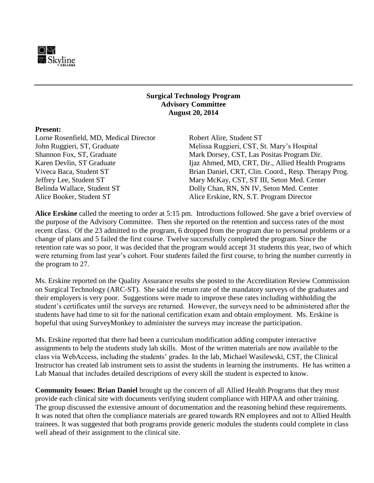

#### **Surgical Technology Program Advisory Committee August 20, 2014**

#### **Present:**

Lorne Rosenfield, MD, Medical Director Robert Alire, Student ST

John Ruggieri, ST, Graduate Melissa Ruggieri, CST, St. Mary's Hospital Shannon Fox, ST, Graduate Mark Dorsey, CST, Las Positas Program Dir. Karen Devlin, ST Graduate Ijaz Ahmed, MD, CRT, Dir., Allied Health Programs Viveca Baca, Student ST Brian Daniel, CRT, Clin. Coord., Resp. Therapy Prog. Jeffrey Lee, Student ST Mary McKay, CST, ST III, Seton Med. Center Belinda Wallace, Student ST Dolly Chan, RN, SN IV, Seton Med. Center Alice Booker, Student ST Alice Erskine, RN, S.T. Program Director

**Alice Erskine** called the meeting to order at 5:15 pm. Introductions followed. She gave a brief overview of the purpose of the Advisory Committee. Then she reported on the retention and success rates of the most recent class. Of the 23 admitted to the program, 6 dropped from the program due to personal problems or a change of plans and 5 failed the first course. Twelve successfully completed the program. Since the retention rate was so poor, it was decided that the program would accept 31 students this year, two of which were returning from last year's cohort. Four students failed the first course, to bring the number currently in the program to 27.

Ms. Erskine reported on the Quality Assurance results she posted to the Accreditation Review Commission on Surgical Technology (ARC-ST). She said the return rate of the mandatory surveys of the graduates and their employers is very poor. Suggestions were made to improve these rates including withholding the student's certificates until the surveys are returned. However, the surveys need to be administered after the students have had time to sit for the national certification exam and obtain employment. Ms. Erskine is hopeful that using SurveyMonkey to administer the surveys may increase the participation.

Ms. Erskine reported that there had been a curriculum modification adding computer interactive assignments to help the students study lab skills. Most of the written materials are now available to the class via WebAccess, including the students' grades. In the lab, Michael Wasilewski, CST, the Clinical Instructor has created lab instrument sets to assist the students in learning the instruments. He has written a Lab Manual that includes detailed descriptions of every skill the student is expected to know.

**Community Issues: Brian Daniel** brought up the concern of all Allied Health Programs that they must provide each clinical site with documents verifying student compliance with HIPAA and other training. The group discussed the extensive amount of documentation and the reasoning behind these requirements. It was noted that often the compliance materials are geared towards RN employees and not to Allied Health trainees. It was suggested that both programs provide generic modules the students could complete in class well ahead of their assignment to the clinical site.